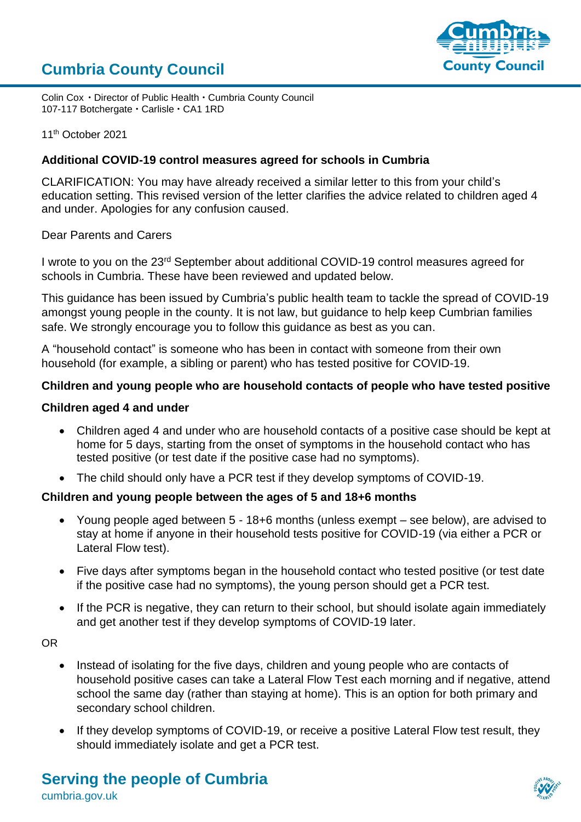# **Cumbria County Council**



Colin Cox • Director of Public Health • Cumbria County Council 107-117 Botchergate · Carlisle · CA1 1RD

11<sup>th</sup> October 2021

#### **Additional COVID-19 control measures agreed for schools in Cumbria**

CLARIFICATION: You may have already received a similar letter to this from your child's education setting. This revised version of the letter clarifies the advice related to children aged 4 and under. Apologies for any confusion caused.

Dear Parents and Carers

I wrote to you on the 23rd September about additional COVID-19 control measures agreed for schools in Cumbria. These have been reviewed and updated below.

This guidance has been issued by Cumbria's public health team to tackle the spread of COVID-19 amongst young people in the county. It is not law, but guidance to help keep Cumbrian families safe. We strongly encourage you to follow this guidance as best as you can.

A "household contact" is someone who has been in contact with someone from their own household (for example, a sibling or parent) who has tested positive for COVID-19.

# **Children and young people who are household contacts of people who have tested positive**

#### **Children aged 4 and under**

- Children aged 4 and under who are household contacts of a positive case should be kept at home for 5 days, starting from the onset of symptoms in the household contact who has tested positive (or test date if the positive case had no symptoms).
- The child should only have a PCR test if they develop symptoms of COVID-19.

#### **Children and young people between the ages of 5 and 18+6 months**

- Young people aged between 5 18+6 months (unless exempt see below), are advised to stay at home if anyone in their household tests positive for COVID-19 (via either a PCR or Lateral Flow test).
- Five days after symptoms began in the household contact who tested positive (or test date if the positive case had no symptoms), the young person should get a PCR test.
- If the PCR is negative, they can return to their school, but should isolate again immediately and get another test if they develop symptoms of COVID-19 later.

OR

- Instead of isolating for the five days, children and young people who are contacts of household positive cases can take a Lateral Flow Test each morning and if negative, attend school the same day (rather than staying at home). This is an option for both primary and secondary school children.
- If they develop symptoms of COVID-19, or receive a positive Lateral Flow test result, they should immediately isolate and get a PCR test.

# **Serving the people of Cumbria**

cumbria.gov.uk